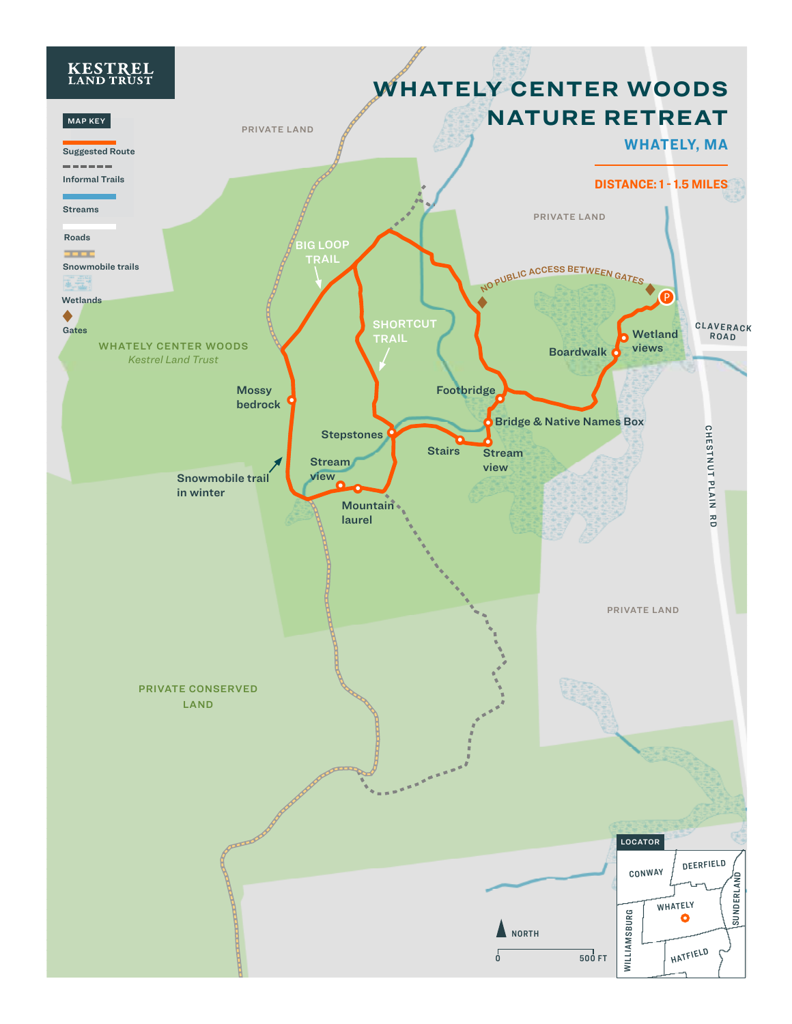